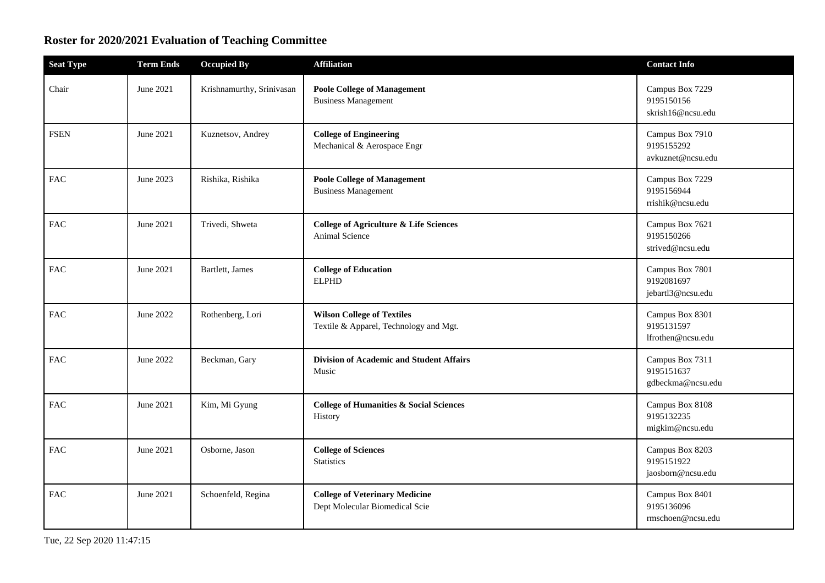## **Roster for 2020/2021 Evaluation of Teaching Committee**

| <b>Seat Type</b> | <b>Term Ends</b> | <b>Occupied By</b>        | <b>Affiliation</b>                                                          | <b>Contact Info</b>                                |
|------------------|------------------|---------------------------|-----------------------------------------------------------------------------|----------------------------------------------------|
| Chair            | June 2021        | Krishnamurthy, Srinivasan | <b>Poole College of Management</b><br><b>Business Management</b>            | Campus Box 7229<br>9195150156<br>skrish16@ncsu.edu |
| <b>FSEN</b>      | June 2021        | Kuznetsov, Andrey         | <b>College of Engineering</b><br>Mechanical & Aerospace Engr                | Campus Box 7910<br>9195155292<br>avkuznet@ncsu.edu |
| ${\rm FAC}$      | June 2023        | Rishika, Rishika          | <b>Poole College of Management</b><br><b>Business Management</b>            | Campus Box 7229<br>9195156944<br>rrishik@ncsu.edu  |
| FAC              | June 2021        | Trivedi, Shweta           | <b>College of Agriculture &amp; Life Sciences</b><br>Animal Science         | Campus Box 7621<br>9195150266<br>strived@ncsu.edu  |
| <b>FAC</b>       | June 2021        | Bartlett, James           | <b>College of Education</b><br><b>ELPHD</b>                                 | Campus Box 7801<br>9192081697<br>jebartl3@ncsu.edu |
| ${\rm FAC}$      | June 2022        | Rothenberg, Lori          | <b>Wilson College of Textiles</b><br>Textile & Apparel, Technology and Mgt. | Campus Box 8301<br>9195131597<br>lfrothen@ncsu.edu |
| <b>FAC</b>       | June 2022        | Beckman, Gary             | Division of Academic and Student Affairs<br>Music                           | Campus Box 7311<br>9195151637<br>gdbeckma@ncsu.edu |
| <b>FAC</b>       | June 2021        | Kim, Mi Gyung             | <b>College of Humanities &amp; Social Sciences</b><br>History               | Campus Box 8108<br>9195132235<br>migkim@ncsu.edu   |
| <b>FAC</b>       | June 2021        | Osborne, Jason            | <b>College of Sciences</b><br><b>Statistics</b>                             | Campus Box 8203<br>9195151922<br>jaosborn@ncsu.edu |
| <b>FAC</b>       | June 2021        | Schoenfeld, Regina        | <b>College of Veterinary Medicine</b><br>Dept Molecular Biomedical Scie     | Campus Box 8401<br>9195136096<br>rmschoen@ncsu.edu |